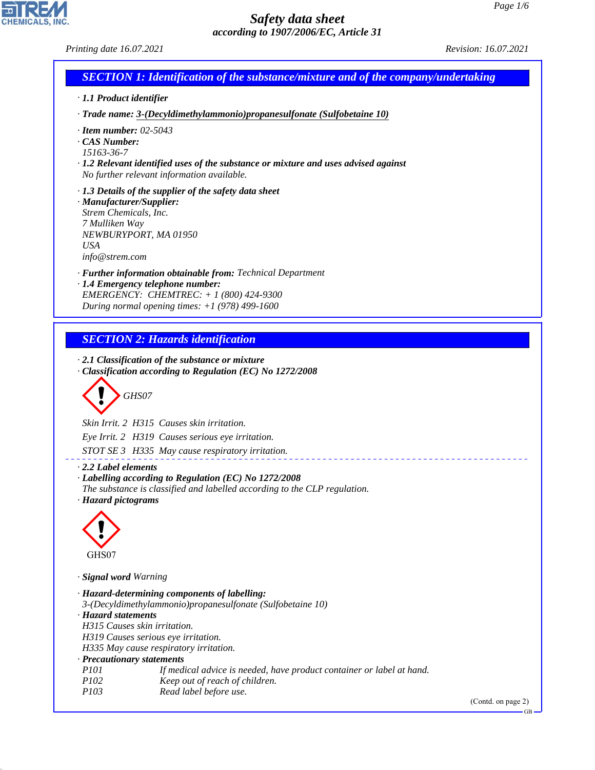GB

# *Safety data sheet according to 1907/2006/EC, Article 31*

CHEMICALS, INC.

44.1.1

| Printing date 16.07.2021                                                                                                                                                                                                                                                                                                                                                                                                                        | Revision: 16.07.2021 |
|-------------------------------------------------------------------------------------------------------------------------------------------------------------------------------------------------------------------------------------------------------------------------------------------------------------------------------------------------------------------------------------------------------------------------------------------------|----------------------|
| <b>SECTION 1: Identification of the substance/mixture and of the company/undertaking</b>                                                                                                                                                                                                                                                                                                                                                        |                      |
| · 1.1 Product identifier                                                                                                                                                                                                                                                                                                                                                                                                                        |                      |
| · Trade name: 3-(Decyldimethylammonio)propanesulfonate (Sulfobetaine 10)                                                                                                                                                                                                                                                                                                                                                                        |                      |
| $\cdot$ Item number: 02-5043<br>CAS Number:<br>15163-36-7<br>$\cdot$ 1.2 Relevant identified uses of the substance or mixture and uses advised against<br>No further relevant information available.                                                                                                                                                                                                                                            |                      |
| $\cdot$ 1.3 Details of the supplier of the safety data sheet<br>· Manufacturer/Supplier:<br>Strem Chemicals, Inc.<br>7 Mulliken Way<br>NEWBURYPORT, MA 01950<br><b>USA</b><br>info@strem.com                                                                                                                                                                                                                                                    |                      |
| · Further information obtainable from: Technical Department<br>· 1.4 Emergency telephone number:<br>EMERGENCY: CHEMTREC: + 1 (800) 424-9300<br>During normal opening times: $+1$ (978) 499-1600                                                                                                                                                                                                                                                 |                      |
| <b>SECTION 2: Hazards identification</b>                                                                                                                                                                                                                                                                                                                                                                                                        |                      |
| $\cdot$ 2.1 Classification of the substance or mixture<br>Classification according to Regulation (EC) No 1272/2008<br>GHS07<br>Skin Irrit. 2 H315 Causes skin irritation.<br>Eye Irrit. 2 H319 Causes serious eye irritation.<br>STOT SE 3 H335 May cause respiratory irritation.                                                                                                                                                               |                      |
| 2.2 Label elements<br>· Labelling according to Regulation (EC) No 1272/2008<br>The substance is classified and labelled according to the CLP regulation.<br>· Hazard pictograms                                                                                                                                                                                                                                                                 |                      |
| GHS07                                                                                                                                                                                                                                                                                                                                                                                                                                           |                      |
| · Signal word Warning                                                                                                                                                                                                                                                                                                                                                                                                                           |                      |
| · Hazard-determining components of labelling:<br>3-(Decyldimethylammonio) propanesulfonate (Sulfobetaine 10)<br>· Hazard statements<br>H315 Causes skin irritation.<br>H319 Causes serious eye irritation.<br>H335 May cause respiratory irritation.<br>· Precautionary statements<br>P101<br>If medical advice is needed, have product container or label at hand.<br>P102<br>Keep out of reach of children.<br>P103<br>Read label before use. |                      |
|                                                                                                                                                                                                                                                                                                                                                                                                                                                 | (Contd. on page 2)   |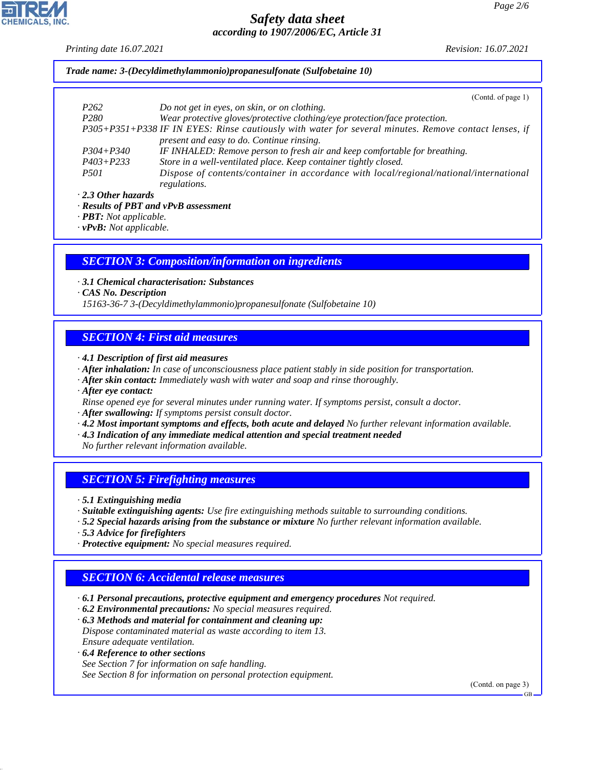*Printing date 16.07.2021 Revision: 16.07.2021*

*Trade name: 3-(Decyldimethylammonio)propanesulfonate (Sulfobetaine 10)*

|                           | (Cond. of page 1)                                                                                     |
|---------------------------|-------------------------------------------------------------------------------------------------------|
| P <sub>262</sub>          | Do not get in eyes, on skin, or on clothing.                                                          |
| P <sub>280</sub>          | Wear protective gloves/protective clothing/eye protection/face protection.                            |
|                           | P305+P351+P338 IF IN EYES: Rinse cautiously with water for several minutes. Remove contact lenses, if |
|                           | present and easy to do. Continue rinsing.                                                             |
| $P304 + P340$             | IF INHALED: Remove person to fresh air and keep comfortable for breathing.                            |
| $P403 + P233$             | Store in a well-ventilated place. Keep container tightly closed.                                      |
| <i>P501</i>               | Dispose of contents/container in accordance with local/regional/national/international                |
|                           | regulations.                                                                                          |
| $\cdot$ 2.3 Other hazards |                                                                                                       |
| n <i>i ennm</i>           | <b><u>nn</u></b>                                                                                      |

*· Results of PBT and vPvB assessment*

*· PBT: Not applicable.*

*· vPvB: Not applicable.*

#### *SECTION 3: Composition/information on ingredients*

*· 3.1 Chemical characterisation: Substances*

*· CAS No. Description*

*15163-36-7 3-(Decyldimethylammonio)propanesulfonate (Sulfobetaine 10)*

### *SECTION 4: First aid measures*

- *· 4.1 Description of first aid measures*
- *· After inhalation: In case of unconsciousness place patient stably in side position for transportation.*
- *· After skin contact: Immediately wash with water and soap and rinse thoroughly.*
- *· After eye contact:*
- *Rinse opened eye for several minutes under running water. If symptoms persist, consult a doctor.*
- *· After swallowing: If symptoms persist consult doctor.*
- *· 4.2 Most important symptoms and effects, both acute and delayed No further relevant information available.*
- *· 4.3 Indication of any immediate medical attention and special treatment needed*

*No further relevant information available.*

### *SECTION 5: Firefighting measures*

- *· 5.1 Extinguishing media*
- *· Suitable extinguishing agents: Use fire extinguishing methods suitable to surrounding conditions.*
- *· 5.2 Special hazards arising from the substance or mixture No further relevant information available.*
- *· 5.3 Advice for firefighters*

44.1.1

*· Protective equipment: No special measures required.*

### *SECTION 6: Accidental release measures*

- *· 6.1 Personal precautions, protective equipment and emergency procedures Not required.*
- *· 6.2 Environmental precautions: No special measures required.*
- *· 6.3 Methods and material for containment and cleaning up: Dispose contaminated material as waste according to item 13. Ensure adequate ventilation.*
- *· 6.4 Reference to other sections See Section 7 for information on safe handling. See Section 8 for information on personal protection equipment.*

(Contd. on page 3)

GB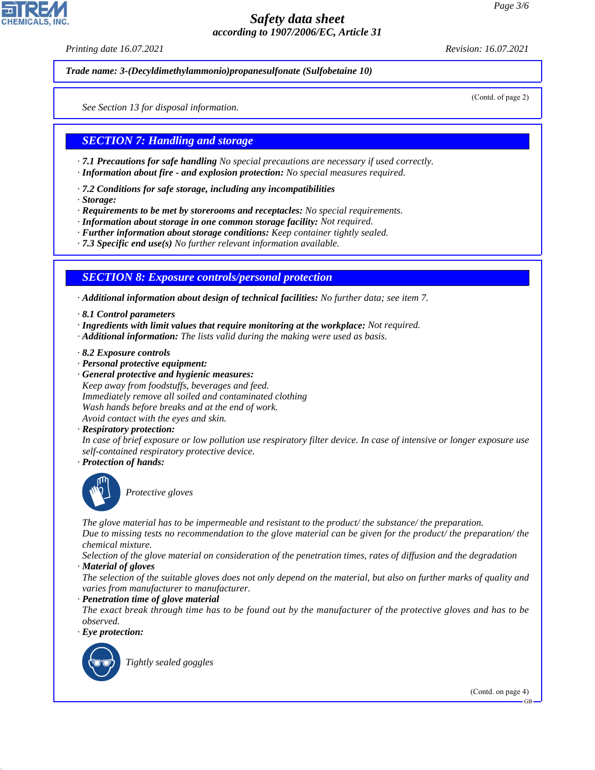*Printing date 16.07.2021 Revision: 16.07.2021*

*Trade name: 3-(Decyldimethylammonio)propanesulfonate (Sulfobetaine 10)*

(Contd. of page 2)

*See Section 13 for disposal information.*

### *SECTION 7: Handling and storage*

*· 7.1 Precautions for safe handling No special precautions are necessary if used correctly.*

- *· Information about fire and explosion protection: No special measures required.*
- *· 7.2 Conditions for safe storage, including any incompatibilities*
- *· Storage:*

*· Requirements to be met by storerooms and receptacles: No special requirements.*

- *· Information about storage in one common storage facility: Not required.*
- *· Further information about storage conditions: Keep container tightly sealed.*
- *· 7.3 Specific end use(s) No further relevant information available.*

### *SECTION 8: Exposure controls/personal protection*

*· Additional information about design of technical facilities: No further data; see item 7.*

- *· 8.1 Control parameters*
- *· Ingredients with limit values that require monitoring at the workplace: Not required.*
- *· Additional information: The lists valid during the making were used as basis.*
- *· 8.2 Exposure controls*
- *· Personal protective equipment:*
- *· General protective and hygienic measures: Keep away from foodstuffs, beverages and feed. Immediately remove all soiled and contaminated clothing Wash hands before breaks and at the end of work. Avoid contact with the eyes and skin.*
- *· Respiratory protection:*

*In case of brief exposure or low pollution use respiratory filter device. In case of intensive or longer exposure use self-contained respiratory protective device.*

*· Protection of hands:*



\_S*Protective gloves*

*The glove material has to be impermeable and resistant to the product/ the substance/ the preparation.*

*Due to missing tests no recommendation to the glove material can be given for the product/ the preparation/ the chemical mixture.*

*Selection of the glove material on consideration of the penetration times, rates of diffusion and the degradation*

*· Material of gloves*

*The selection of the suitable gloves does not only depend on the material, but also on further marks of quality and varies from manufacturer to manufacturer.*

*· Penetration time of glove material*

*The exact break through time has to be found out by the manufacturer of the protective gloves and has to be observed.*

*· Eye protection:*



44.1.1

\_R*Tightly sealed goggles*

(Contd. on page 4)

GB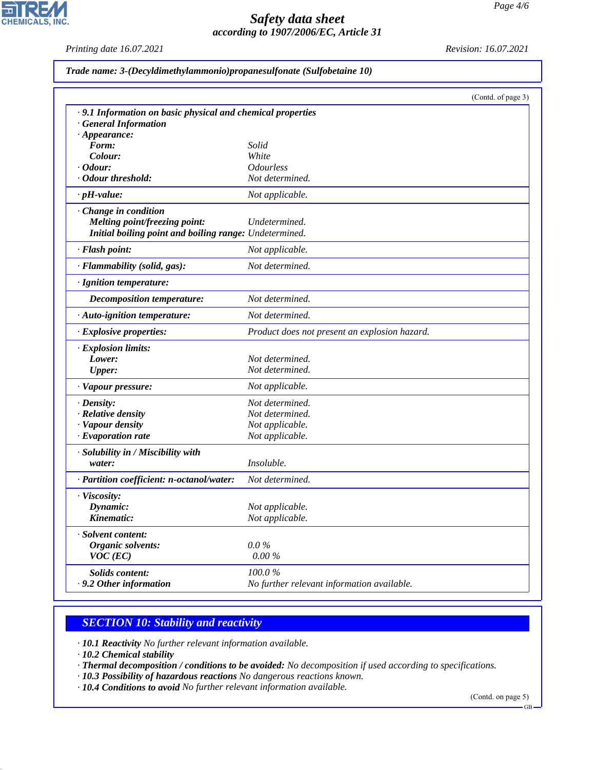*Printing date 16.07.2021 Revision: 16.07.2021*

고

**CHEMICALS, INC.** 

|  |  |  |  |  | Trade name: 3-(Decyldimethylammonio)propanesulfonate (Sulfobetaine 10) |  |
|--|--|--|--|--|------------------------------------------------------------------------|--|
|--|--|--|--|--|------------------------------------------------------------------------|--|

|                                                             |                                               | (Contd. of page 3) |
|-------------------------------------------------------------|-----------------------------------------------|--------------------|
| · 9.1 Information on basic physical and chemical properties |                                               |                    |
| <b>General Information</b>                                  |                                               |                    |
| $\cdot$ Appearance:                                         |                                               |                    |
| Form:                                                       | Solid                                         |                    |
| Colour:                                                     | White                                         |                    |
| $\cdot$ Odour:                                              | <i><b>Odourless</b></i>                       |                    |
| · Odour threshold:                                          | Not determined.                               |                    |
| $\cdot$ pH-value:                                           | Not applicable.                               |                    |
| Change in condition                                         |                                               |                    |
| <b>Melting point/freezing point:</b>                        | Undetermined.                                 |                    |
| Initial boiling point and boiling range: Undetermined.      |                                               |                    |
| · Flash point:                                              | Not applicable.                               |                    |
| · Flammability (solid, gas):                                | Not determined.                               |                    |
| · Ignition temperature:                                     |                                               |                    |
| <b>Decomposition temperature:</b>                           | Not determined.                               |                    |
| · Auto-ignition temperature:                                | Not determined.                               |                    |
| · Explosive properties:                                     | Product does not present an explosion hazard. |                    |
| · Explosion limits:                                         |                                               |                    |
| Lower:                                                      | Not determined.                               |                    |
| <b>Upper:</b>                                               | Not determined.                               |                    |
| · Vapour pressure:                                          | Not applicable.                               |                    |
| $\cdot$ Density:                                            | Not determined.                               |                    |
| · Relative density                                          | Not determined.                               |                    |
| · Vapour density                                            | Not applicable.                               |                    |
| $\cdot$ Evaporation rate                                    | Not applicable.                               |                    |
| · Solubility in / Miscibility with                          |                                               |                    |
| water:                                                      | Insoluble.                                    |                    |
| · Partition coefficient: n-octanol/water:                   | Not determined.                               |                    |
| · Viscosity:                                                |                                               |                    |
| Dynamic:                                                    | Not applicable.                               |                    |
| Kinematic:                                                  | Not applicable.                               |                    |
| · Solvent content:                                          |                                               |                    |
| Organic solvents:                                           | $0.0\%$                                       |                    |
| $VOC$ (EC)                                                  | $0.00\%$                                      |                    |
| <b>Solids content:</b>                                      | 100.0%                                        |                    |
| . 9.2 Other information                                     | No further relevant information available.    |                    |

# *SECTION 10: Stability and reactivity*

*· 10.1 Reactivity No further relevant information available.*

*· 10.2 Chemical stability*

44.1.1

- *· Thermal decomposition / conditions to be avoided: No decomposition if used according to specifications.*
- *· 10.3 Possibility of hazardous reactions No dangerous reactions known.*

*· 10.4 Conditions to avoid No further relevant information available.*

(Contd. on page 5)

GB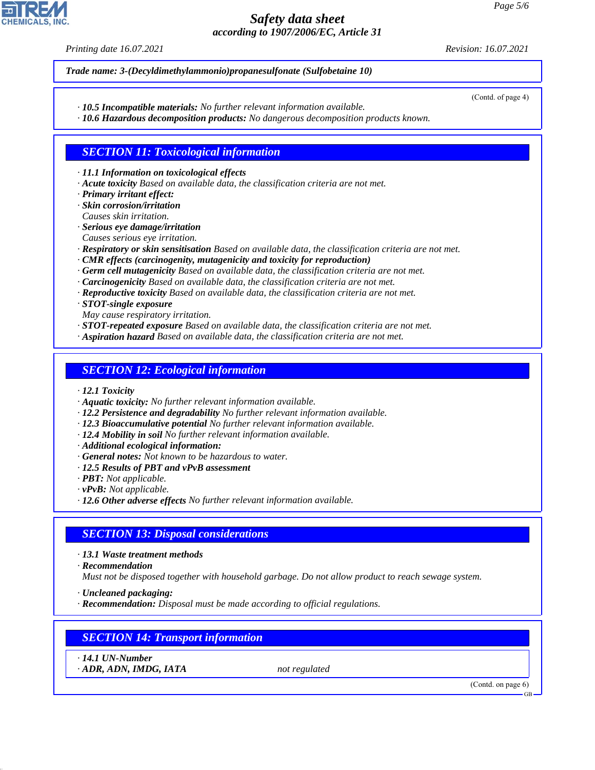*Printing date 16.07.2021 Revision: 16.07.2021*

*Trade name: 3-(Decyldimethylammonio)propanesulfonate (Sulfobetaine 10)*

*· 10.5 Incompatible materials: No further relevant information available.*

*· 10.6 Hazardous decomposition products: No dangerous decomposition products known.*

## *SECTION 11: Toxicological information*

*· 11.1 Information on toxicological effects*

- *· Acute toxicity Based on available data, the classification criteria are not met.*
- *· Primary irritant effect:*

*· Skin corrosion/irritation Causes skin irritation.*

- *· Serious eye damage/irritation*
- *Causes serious eye irritation.*
- *· Respiratory or skin sensitisation Based on available data, the classification criteria are not met.*
- *· CMR effects (carcinogenity, mutagenicity and toxicity for reproduction)*
- *· Germ cell mutagenicity Based on available data, the classification criteria are not met.*
- *· Carcinogenicity Based on available data, the classification criteria are not met.*
- *· Reproductive toxicity Based on available data, the classification criteria are not met.*

*· STOT-single exposure*

- *May cause respiratory irritation.*
- *· STOT-repeated exposure Based on available data, the classification criteria are not met.*
- *· Aspiration hazard Based on available data, the classification criteria are not met.*

### *SECTION 12: Ecological information*

- *· 12.1 Toxicity*
- *· Aquatic toxicity: No further relevant information available.*
- *· 12.2 Persistence and degradability No further relevant information available.*
- *· 12.3 Bioaccumulative potential No further relevant information available.*
- *· 12.4 Mobility in soil No further relevant information available.*
- *· Additional ecological information:*
- *· General notes: Not known to be hazardous to water.*
- *· 12.5 Results of PBT and vPvB assessment*
- *· PBT: Not applicable.*
- *· vPvB: Not applicable.*
- *· 12.6 Other adverse effects No further relevant information available.*

### *SECTION 13: Disposal considerations*

*· 13.1 Waste treatment methods*

*· Recommendation*

*Must not be disposed together with household garbage. Do not allow product to reach sewage system.*

- *· Uncleaned packaging:*
- *· Recommendation: Disposal must be made according to official regulations.*

# *SECTION 14: Transport information*

*· 14.1 UN-Number*

44.1.1

*· ADR, ADN, IMDG, IATA not regulated*

(Contd. on page 6)

GB